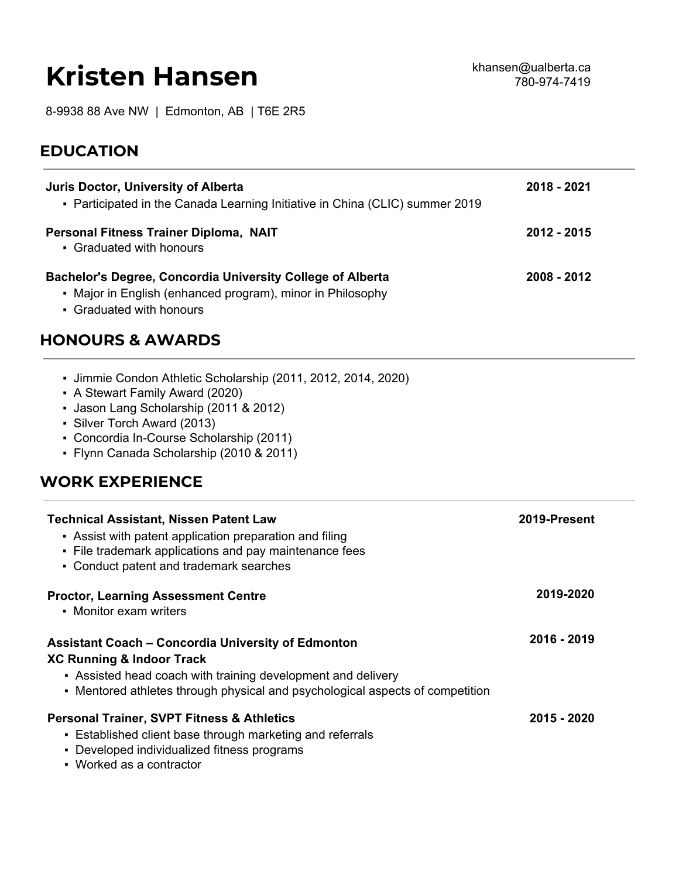# **Kristen Hansen**

8-9938 88 Ave NW | Edmonton, AB | T6E 2R5

## **EDUCATION**

| Juris Doctor, University of Alberta<br>- Participated in the Canada Learning Initiative in China (CLIC) summer 2019                                         | 2018 - 2021 |
|-------------------------------------------------------------------------------------------------------------------------------------------------------------|-------------|
| Personal Fitness Trainer Diploma, NAIT<br>• Graduated with honours                                                                                          | 2012 - 2015 |
| <b>Bachelor's Degree, Concordia University College of Alberta</b><br>• Major in English (enhanced program), minor in Philosophy<br>• Graduated with honours | 2008 - 2012 |

#### **HONOURS & AWARDS**

| Ummie Condon Athletic Scholarship (2011, 2012, 2014, 2020) |  |  |  |
|------------------------------------------------------------|--|--|--|

- A Stewart Family Award (2020)
- Jason Lang Scholarship (2011 & 2012)
- Silver Torch Award (2013)
- Concordia In-Course Scholarship (2011)
- Flynn Canada Scholarship (2010 & 2011)

#### **WORK EXPERIENCE**

| <b>Technical Assistant, Nissen Patent Law</b><br>• Assist with patent application preparation and filing<br>• File trademark applications and pay maintenance fees<br>• Conduct patent and trademark searches                           | 2019-Present |
|-----------------------------------------------------------------------------------------------------------------------------------------------------------------------------------------------------------------------------------------|--------------|
| <b>Proctor, Learning Assessment Centre</b><br>• Monitor exam writers                                                                                                                                                                    | 2019-2020    |
| <b>Assistant Coach - Concordia University of Edmonton</b><br>XC Running & Indoor Track<br>• Assisted head coach with training development and delivery<br>• Mentored athletes through physical and psychological aspects of competition | 2016 - 2019  |
| <b>Personal Trainer, SVPT Fitness &amp; Athletics</b><br>• Established client base through marketing and referrals<br>• Developed individualized fitness programs                                                                       | 2015 - 2020  |

▪ Worked as a contractor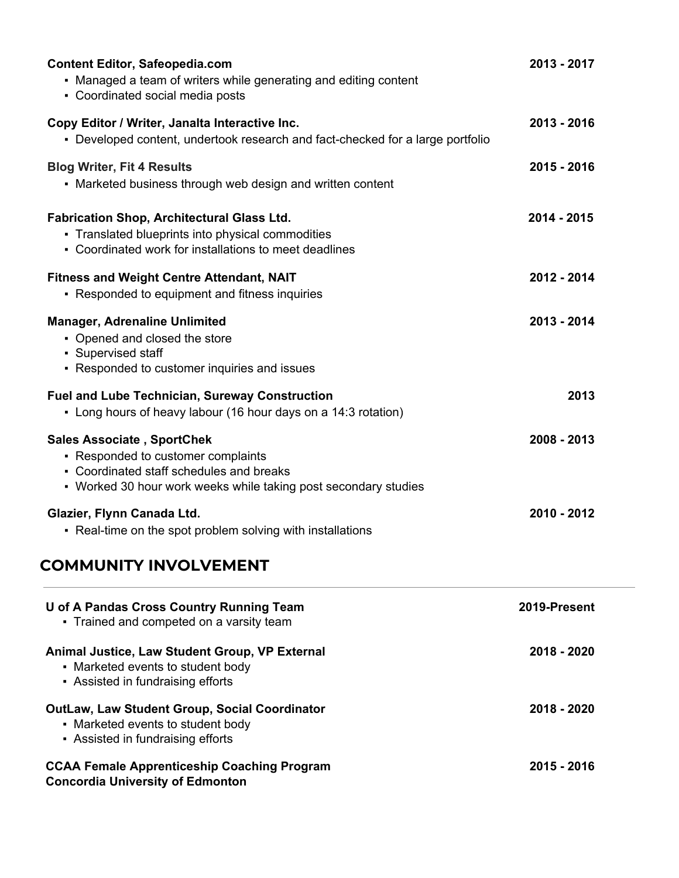| Animal Justice, Law Student Group, VP External<br>• Marketed events to student body                                                                                                    | 2018 - 2020  |
|----------------------------------------------------------------------------------------------------------------------------------------------------------------------------------------|--------------|
| <b>U of A Pandas Cross Country Running Team</b><br>- Trained and competed on a varsity team                                                                                            | 2019-Present |
| <b>COMMUNITY INVOLVEMENT</b>                                                                                                                                                           |              |
| Glazier, Flynn Canada Ltd.<br>- Real-time on the spot problem solving with installations                                                                                               | 2010 - 2012  |
| <b>Sales Associate, SportChek</b><br>- Responded to customer complaints<br>• Coordinated staff schedules and breaks<br>• Worked 30 hour work weeks while taking post secondary studies | 2008 - 2013  |
| <b>Fuel and Lube Technician, Sureway Construction</b><br>• Long hours of heavy labour (16 hour days on a 14:3 rotation)                                                                | 2013         |
| <b>Manager, Adrenaline Unlimited</b><br>• Opened and closed the store<br>• Supervised staff<br>- Responded to customer inquiries and issues                                            | 2013 - 2014  |
| <b>Fitness and Weight Centre Attendant, NAIT</b><br>- Responded to equipment and fitness inquiries                                                                                     | 2012 - 2014  |
| <b>Fabrication Shop, Architectural Glass Ltd.</b><br>- Translated blueprints into physical commodities<br>• Coordinated work for installations to meet deadlines                       | 2014 - 2015  |
| <b>Blog Writer, Fit 4 Results</b><br>• Marketed business through web design and written content                                                                                        | 2015 - 2016  |
| Copy Editor / Writer, Janalta Interactive Inc.<br>- Developed content, undertook research and fact-checked for a large portfolio                                                       | 2013 - 2016  |
| <b>Content Editor, Safeopedia.com</b><br>• Managed a team of writers while generating and editing content<br>• Coordinated social media posts                                          | 2013 - 2017  |

**2018 - 2020**

**2015 - 2016**

▪ Assisted in fundraising efforts

**Concordia University of Edmonton**

▪ Marketed events to student body ▪ Assisted in fundraising efforts

**OutLaw, Law Student Group, Social Coordinator**

**CCAA Female Apprenticeship Coaching Program**